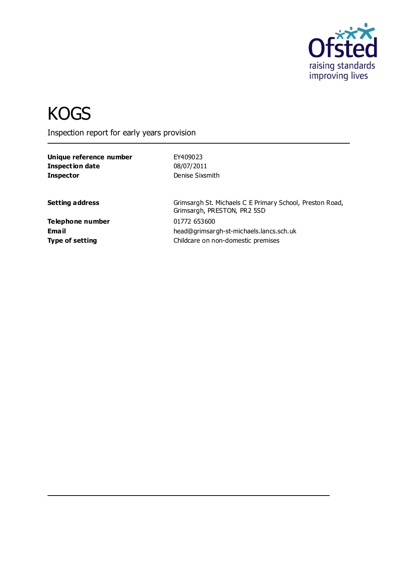

# **KOGS**

Inspection report for early years provision

**Unique reference number** EY409023 **Inspection date** 08/07/2011 **Inspector** Denise Sixsmith

**Setting address** Grimsargh St. Michaels C E Primary School, Preston Road, Grimsargh, PRESTON, PR2 5SD **Email** head@grimsargh-st-michaels.lancs.sch.uk

**Telephone number** 01772 653600 **Type of setting Type of setting Childcare on non-domestic premises**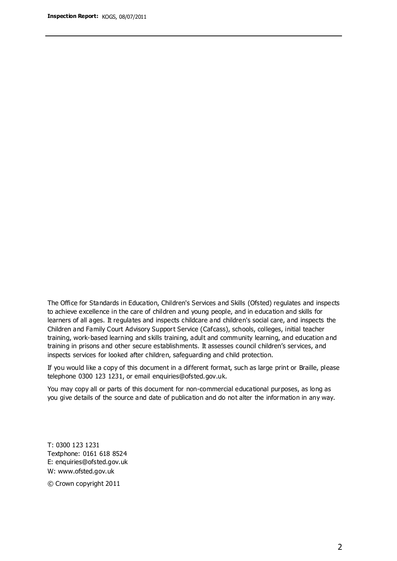The Office for Standards in Education, Children's Services and Skills (Ofsted) regulates and inspects to achieve excellence in the care of children and young people, and in education and skills for learners of all ages. It regulates and inspects childcare and children's social care, and inspects the Children and Family Court Advisory Support Service (Cafcass), schools, colleges, initial teacher training, work-based learning and skills training, adult and community learning, and education and training in prisons and other secure establishments. It assesses council children's services, and inspects services for looked after children, safeguarding and child protection.

If you would like a copy of this document in a different format, such as large print or Braille, please telephone 0300 123 1231, or email enquiries@ofsted.gov.uk.

You may copy all or parts of this document for non-commercial educational purposes, as long as you give details of the source and date of publication and do not alter the information in any way.

T: 0300 123 1231 Textphone: 0161 618 8524 E: enquiries@ofsted.gov.uk W: [www.ofsted.gov.uk](http://www.ofsted.gov.uk/)

© Crown copyright 2011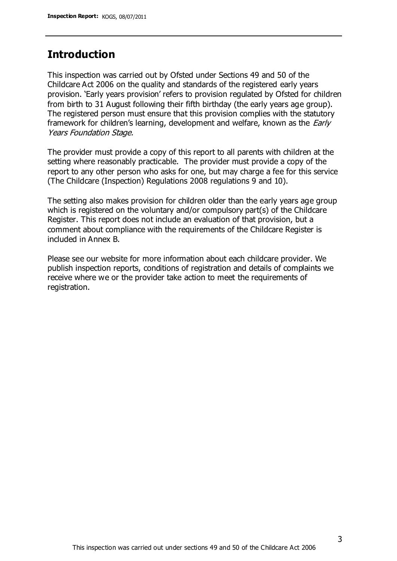## **Introduction**

This inspection was carried out by Ofsted under Sections 49 and 50 of the Childcare Act 2006 on the quality and standards of the registered early years provision. 'Early years provision' refers to provision regulated by Ofsted for children from birth to 31 August following their fifth birthday (the early years age group). The registered person must ensure that this provision complies with the statutory framework for children's learning, development and welfare, known as the *Early* Years Foundation Stage.

The provider must provide a copy of this report to all parents with children at the setting where reasonably practicable. The provider must provide a copy of the report to any other person who asks for one, but may charge a fee for this service (The Childcare (Inspection) Regulations 2008 regulations 9 and 10).

The setting also makes provision for children older than the early years age group which is registered on the voluntary and/or compulsory part(s) of the Childcare Register. This report does not include an evaluation of that provision, but a comment about compliance with the requirements of the Childcare Register is included in Annex B.

Please see our website for more information about each childcare provider. We publish inspection reports, conditions of registration and details of complaints we receive where we or the provider take action to meet the requirements of registration.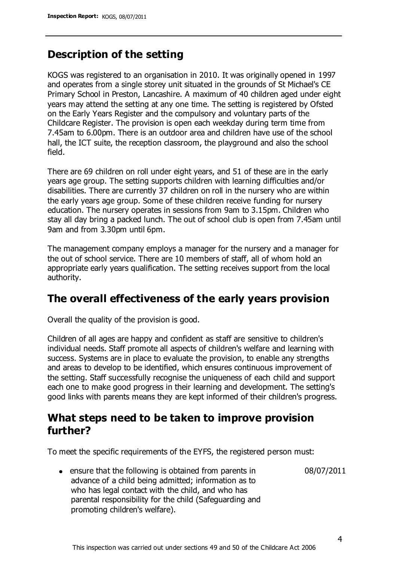# **Description of the setting**

KOGS was registered to an organisation in 2010. It was originally opened in 1997 and operates from a single storey unit situated in the grounds of St Michael's CE Primary School in Preston, Lancashire. A maximum of 40 children aged under eight years may attend the setting at any one time. The setting is registered by Ofsted on the Early Years Register and the compulsory and voluntary parts of the Childcare Register. The provision is open each weekday during term time from 7.45am to 6.00pm. There is an outdoor area and children have use of the school hall, the ICT suite, the reception classroom, the playground and also the school field.

There are 69 children on roll under eight years, and 51 of these are in the early years age group. The setting supports children with learning difficulties and/or disabilities. There are currently 37 children on roll in the nursery who are within the early years age group. Some of these children receive funding for nursery education. The nursery operates in sessions from 9am to 3.15pm. Children who stay all day bring a packed lunch. The out of school club is open from 7.45am until 9am and from 3.30pm until 6pm.

The management company employs a manager for the nursery and a manager for the out of school service. There are 10 members of staff, all of whom hold an appropriate early years qualification. The setting receives support from the local authority.

## **The overall effectiveness of the early years provision**

Overall the quality of the provision is good.

Children of all ages are happy and confident as staff are sensitive to children's individual needs. Staff promote all aspects of children's welfare and learning with success. Systems are in place to evaluate the provision, to enable any strengths and areas to develop to be identified, which ensures continuous improvement of the setting. Staff successfully recognise the uniqueness of each child and support each one to make good progress in their learning and development. The setting's good links with parents means they are kept informed of their children's progress.

# **What steps need to be taken to improve provision further?**

To meet the specific requirements of the EYFS, the registered person must:

08/07/2011

ensure that the following is obtained from parents in advance of a child being admitted; information as to who has legal contact with the child, and who has parental responsibility for the child (Safeguarding and promoting children's welfare).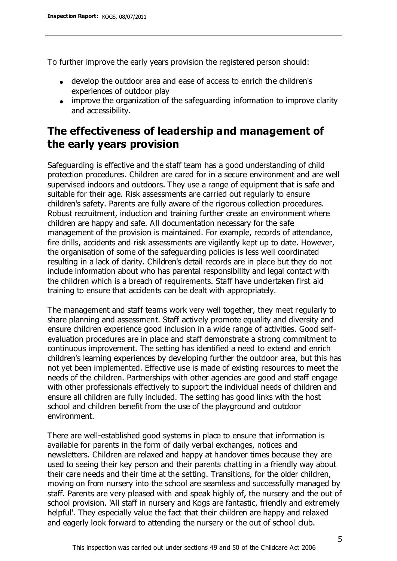To further improve the early years provision the registered person should:

- develop the outdoor area and ease of access to enrich the children's experiences of outdoor play
- improve the organization of the safeguarding information to improve clarity and accessibility.

# **The effectiveness of leadership and management of the early years provision**

Safeguarding is effective and the staff team has a good understanding of child protection procedures. Children are cared for in a secure environment and are well supervised indoors and outdoors. They use a range of equipment that is safe and suitable for their age. Risk assessments are carried out regularly to ensure children's safety. Parents are fully aware of the rigorous collection procedures. Robust recruitment, induction and training further create an environment where children are happy and safe. All documentation necessary for the safe management of the provision is maintained. For example, records of attendance, fire drills, accidents and risk assessments are vigilantly kept up to date. However, the organisation of some of the safeguarding policies is less well coordinated resulting in a lack of clarity. Children's detail records are in place but they do not include information about who has parental responsibility and legal contact with the children which is a breach of requirements. Staff have undertaken first aid training to ensure that accidents can be dealt with appropriately.

The management and staff teams work very well together, they meet regularly to share planning and assessment. Staff actively promote equality and diversity and ensure children experience good inclusion in a wide range of activities. Good selfevaluation procedures are in place and staff demonstrate a strong commitment to continuous improvement. The setting has identified a need to extend and enrich children's learning experiences by developing further the outdoor area, but this has not yet been implemented. Effective use is made of existing resources to meet the needs of the children. Partnerships with other agencies are good and staff engage with other professionals effectively to support the individual needs of children and ensure all children are fully included. The setting has good links with the host school and children benefit from the use of the playground and outdoor environment.

There are well-established good systems in place to ensure that information is available for parents in the form of daily verbal exchanges, notices and newsletters. Children are relaxed and happy at handover times because they are used to seeing their key person and their parents chatting in a friendly way about their care needs and their time at the setting. Transitions, for the older children, moving on from nursery into the school are seamless and successfully managed by staff. Parents are very pleased with and speak highly of, the nursery and the out of school provision. 'All staff in nursery and Kogs are fantastic, friendly and extremely helpful'. They especially value the fact that their children are happy and relaxed and eagerly look forward to attending the nursery or the out of school club.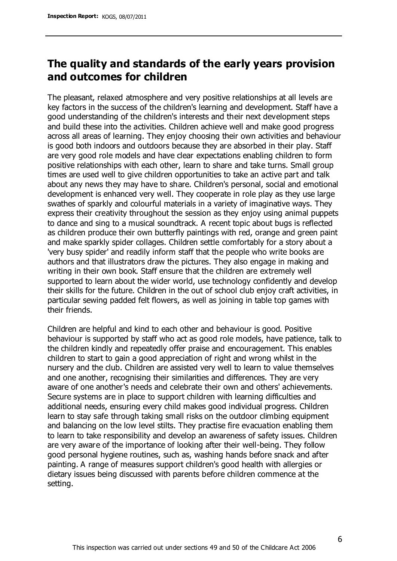# **The quality and standards of the early years provision and outcomes for children**

The pleasant, relaxed atmosphere and very positive relationships at all levels are key factors in the success of the children's learning and development. Staff have a good understanding of the children's interests and their next development steps and build these into the activities. Children achieve well and make good progress across all areas of learning. They enjoy choosing their own activities and behaviour is good both indoors and outdoors because they are absorbed in their play. Staff are very good role models and have clear expectations enabling children to form positive relationships with each other, learn to share and take turns. Small group times are used well to give children opportunities to take an active part and talk about any news they may have to share. Children's personal, social and emotional development is enhanced very well. They cooperate in role play as they use large swathes of sparkly and colourful materials in a variety of imaginative ways. They express their creativity throughout the session as they enjoy using animal puppets to dance and sing to a musical soundtrack. A recent topic about bugs is reflected as children produce their own butterfly paintings with red, orange and green paint and make sparkly spider collages. Children settle comfortably for a story about a 'very busy spider' and readily inform staff that the people who write books are authors and that illustrators draw the pictures. They also engage in making and writing in their own book. Staff ensure that the children are extremely well supported to learn about the wider world, use technology confidently and develop their skills for the future. Children in the out of school club enjoy craft activities, in particular sewing padded felt flowers, as well as joining in table top games with their friends.

Children are helpful and kind to each other and behaviour is good. Positive behaviour is supported by staff who act as good role models, have patience, talk to the children kindly and repeatedly offer praise and encouragement. This enables children to start to gain a good appreciation of right and wrong whilst in the nursery and the club. Children are assisted very well to learn to value themselves and one another, recognising their similarities and differences. They are very aware of one another's needs and celebrate their own and others' achievements. Secure systems are in place to support children with learning difficulties and additional needs, ensuring every child makes good individual progress. Children learn to stay safe through taking small risks on the outdoor climbing equipment and balancing on the low level stilts. They practise fire evacuation enabling them to learn to take responsibility and develop an awareness of safety issues. Children are very aware of the importance of looking after their well-being. They follow good personal hygiene routines, such as, washing hands before snack and after painting. A range of measures support children's good health with allergies or dietary issues being discussed with parents before children commence at the setting.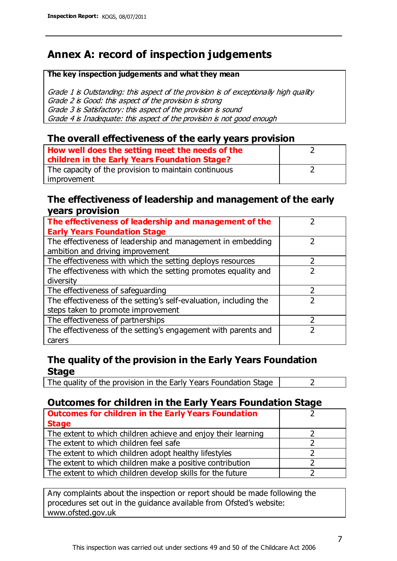# **Annex A: record of inspection judgements**

#### **The key inspection judgements and what they mean**

Grade 1 is Outstanding: this aspect of the provision is of exceptionally high quality Grade 2 is Good: this aspect of the provision is strong Grade 3 is Satisfactory: this aspect of the provision is sound Grade 4 is Inadequate: this aspect of the provision is not good enough

### **The overall effectiveness of the early years provision**

| How well does the setting meet the needs of the<br>children in the Early Years Foundation Stage? |  |
|--------------------------------------------------------------------------------------------------|--|
| The capacity of the provision to maintain continuous                                             |  |
| improvement                                                                                      |  |

#### **The effectiveness of leadership and management of the early years provision**

| The effectiveness of leadership and management of the             |  |
|-------------------------------------------------------------------|--|
| <b>Early Years Foundation Stage</b>                               |  |
| The effectiveness of leadership and management in embedding       |  |
| ambition and driving improvement                                  |  |
| The effectiveness with which the setting deploys resources        |  |
| The effectiveness with which the setting promotes equality and    |  |
| diversity                                                         |  |
| The effectiveness of safeguarding                                 |  |
| The effectiveness of the setting's self-evaluation, including the |  |
| steps taken to promote improvement                                |  |
| The effectiveness of partnerships                                 |  |
| The effectiveness of the setting's engagement with parents and    |  |
| carers                                                            |  |

## **The quality of the provision in the Early Years Foundation Stage**

The quality of the provision in the Early Years Foundation Stage  $\vert$  2

## **Outcomes for children in the Early Years Foundation Stage**

| <b>Outcomes for children in the Early Years Foundation</b>    |  |
|---------------------------------------------------------------|--|
| <b>Stage</b>                                                  |  |
| The extent to which children achieve and enjoy their learning |  |
| The extent to which children feel safe                        |  |
| The extent to which children adopt healthy lifestyles         |  |
| The extent to which children make a positive contribution     |  |
| The extent to which children develop skills for the future    |  |

Any complaints about the inspection or report should be made following the procedures set out in the guidance available from Ofsted's website: www.ofsted.gov.uk